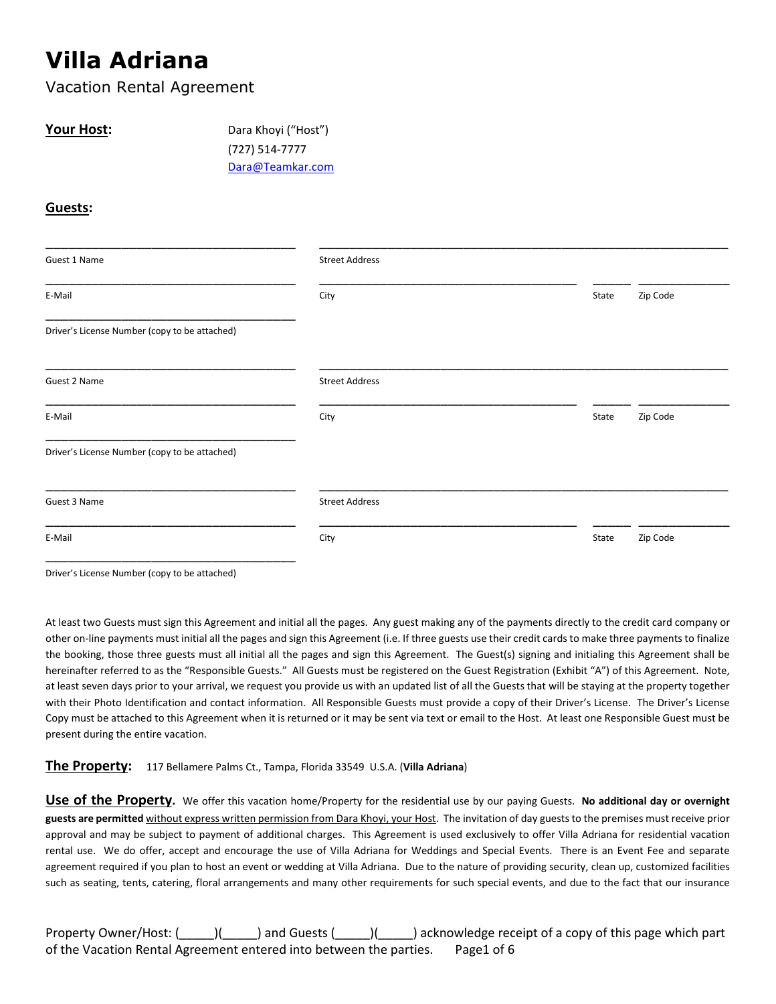# **Villa Adriana**

Vacation Rental Agreement

**Your Host:** Dara Khoyi ("Host") (727) 514-7777 Dara@Teamkar.com

#### **Guests:**

| Guest 1 Name                                  | <b>Street Address</b> |                   |
|-----------------------------------------------|-----------------------|-------------------|
| E-Mail                                        | City                  | Zip Code<br>State |
| Driver's License Number (copy to be attached) |                       |                   |
| Guest 2 Name                                  | <b>Street Address</b> |                   |
| E-Mail                                        | City                  | Zip Code<br>State |
| Driver's License Number (copy to be attached) |                       |                   |
| Guest 3 Name                                  | <b>Street Address</b> |                   |
| E-Mail                                        | City                  | Zip Code<br>State |

Driver's License Number (copy to be attached)

At least two Guests must sign this Agreement and initial all the pages. Any guest making any of the payments directly to the credit card company or other on-line payments must initial all the pages and sign this Agreement (i.e. If three guests use their credit cards to make three payments to finalize the booking, those three guests must all initial all the pages and sign this Agreement. The Guest(s) signing and initialing this Agreement shall be hereinafter referred to as the "Responsible Guests." All Guests must be registered on the Guest Registration (Exhibit "A") of this Agreement. Note, at least seven days prior to your arrival, we request you provide us with an updated list of all the Guests that will be staying at the property together with their Photo Identification and contact information. All Responsible Guests must provide a copy of their Driver's License. The Driver's License Copy must be attached to this Agreement when it is returned or it may be sent via text or email to the Host. At least one Responsible Guest must be present during the entire vacation.

#### **The Property:** 117 Bellamere Palms Ct., Tampa, Florida 33549 U.S.A. (**Villa Adriana**)

**Use of the Property.** We offer this vacation home/Property for the residential use by our paying Guests. **No additional day or overnight guests are permitted** without express written permission from Dara Khoyi, your Host. The invitation of day guests to the premises must receive prior approval and may be subject to payment of additional charges. This Agreement is used exclusively to offer Villa Adriana for residential vacation rental use. We do offer, accept and encourage the use of Villa Adriana for Weddings and Special Events. There is an Event Fee and separate agreement required if you plan to host an event or wedding at Villa Adriana. Due to the nature of providing security, clean up, customized facilities such as seating, tents, catering, floral arrangements and many other requirements for such special events, and due to the fact that our insurance

Property Owner/Host: (\_\_\_\_\_)(\_\_\_\_\_) and Guests (\_\_\_\_\_)(\_\_\_\_\_) acknowledge receipt of a copy of this page which part of the Vacation Rental Agreement entered into between the parties. Page1 of 6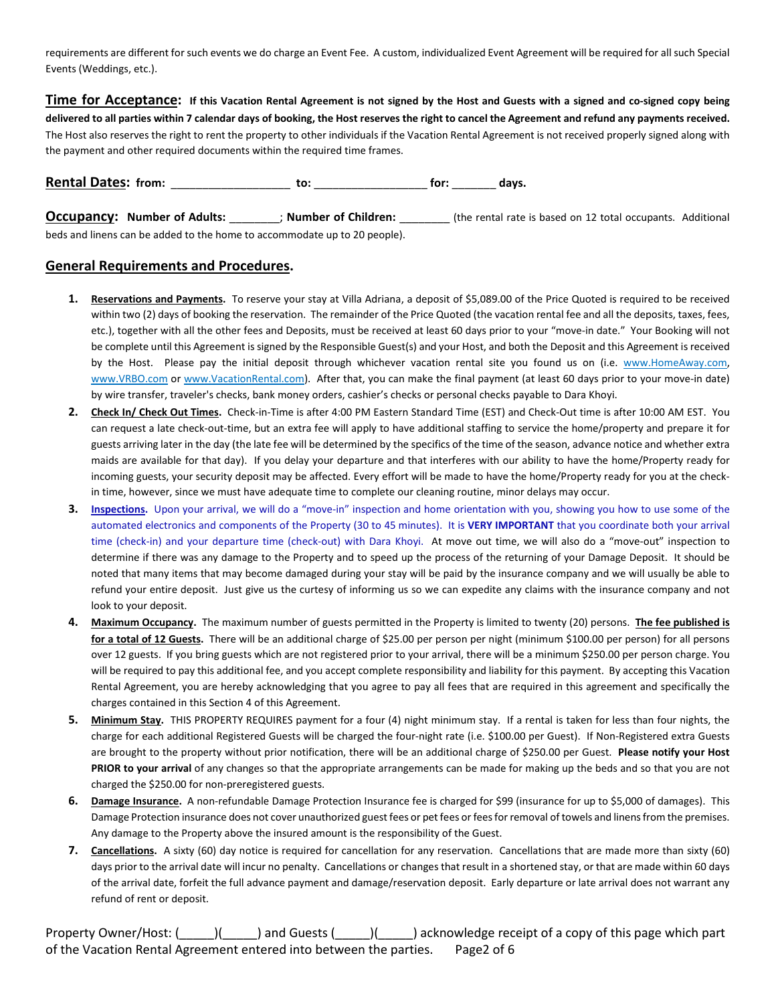requirements are different for such events we do charge an Event Fee. A custom, individualized Event Agreement will be required for all such Special Events (Weddings, etc.).

**Time for Acceptance: If this Vacation Rental Agreement is not signed by the Host and Guests with a signed and co-signed copy being delivered to all parties within 7 calendar days of booking, the Host reserves the right to cancel the Agreement and refund any payments received.** The Host also reserves the right to rent the property to other individuals if the Vacation Rental Agreement is not received properly signed along with the payment and other required documents within the required time frames.

**Rental Dates: from:** \_\_\_\_\_\_\_\_\_\_\_\_\_\_\_\_\_\_\_ **to:** \_\_\_\_\_\_\_\_\_\_\_\_\_\_\_\_\_\_ **for:** \_\_\_\_\_\_\_ **days.**

**Occupancy:** Number of Adults:  $\cdot$ ; Number of Children: (the rental rate is based on 12 total occupants. Additional beds and linens can be added to the home to accommodate up to 20 people).

#### **General Requirements and Procedures.**

- 1. Reservations and Payments. To reserve your stay at Villa Adriana, a deposit of \$5,089.00 of the Price Quoted is required to be received within two (2) days of booking the reservation. The remainder of the Price Quoted (the vacation rental fee and all the deposits, taxes, fees, etc.), together with all the other fees and Deposits, must be received at least 60 days prior to your "move-in date." Your Booking will not be complete until this Agreement is signed by the Responsible Guest(s) and your Host, and both the Deposit and this Agreement is received by the Host. Please pay the initial deposit through whichever vacation rental site you found us on (i.e. www.HomeAway.com, www.VRBO.com or www.VacationRental.com). After that, you can make the final payment (at least 60 days prior to your move-in date) by wire transfer, traveler's checks, bank money orders, cashier's checks or personal checks payable to Dara Khoyi.
- **2. Check In/ Check Out Times.** Check-in-Time is after 4:00 PM Eastern Standard Time (EST) and Check-Out time is after 10:00 AM EST. You can request a late check-out-time, but an extra fee will apply to have additional staffing to service the home/property and prepare it for guests arriving later in the day (the late fee will be determined by the specifics of the time of the season, advance notice and whether extra maids are available for that day). If you delay your departure and that interferes with our ability to have the home/Property ready for incoming guests, your security deposit may be affected. Every effort will be made to have the home/Property ready for you at the checkin time, however, since we must have adequate time to complete our cleaning routine, minor delays may occur.
- **3. Inspections.** Upon your arrival, we will do a "move-in" inspection and home orientation with you, showing you how to use some of the automated electronics and components of the Property (30 to 45 minutes). It is **VERY IMPORTANT** that you coordinate both your arrival time (check-in) and your departure time (check-out) with Dara Khoyi. At move out time, we will also do a "move-out" inspection to determine if there was any damage to the Property and to speed up the process of the returning of your Damage Deposit. It should be noted that many items that may become damaged during your stay will be paid by the insurance company and we will usually be able to refund your entire deposit. Just give us the curtesy of informing us so we can expedite any claims with the insurance company and not look to your deposit.
- **4. Maximum Occupancy.** The maximum number of guests permitted in the Property is limited to twenty (20) persons. **The fee published is** for a total of 12 Guests. There will be an additional charge of \$25.00 per person per night (minimum \$100.00 per person) for all persons over 12 guests. If you bring guests which are not registered prior to your arrival, there will be a minimum \$250.00 per person charge. You will be required to pay this additional fee, and you accept complete responsibility and liability for this payment. By accepting this Vacation Rental Agreement, you are hereby acknowledging that you agree to pay all fees that are required in this agreement and specifically the charges contained in this Section 4 of this Agreement.
- **5. Minimum Stay.** THIS PROPERTY REQUIRES payment for a four (4) night minimum stay. If a rental is taken for less than four nights, the charge for each additional Registered Guests will be charged the four-night rate (i.e. \$100.00 per Guest). If Non-Registered extra Guests are brought to the property without prior notification, there will be an additional charge of \$250.00 per Guest. **Please notify your Host PRIOR to your arrival** of any changes so that the appropriate arrangements can be made for making up the beds and so that you are not charged the \$250.00 for non-preregistered guests.
- **6. Damage Insurance.** A non-refundable Damage Protection Insurance fee is charged for \$99 (insurance for up to \$5,000 of damages). This Damage Protection insurance does not cover unauthorized guest fees or pet fees or fees for removal of towels and linens from the premises. Any damage to the Property above the insured amount is the responsibility of the Guest.
- **7. Cancellations.** A sixty (60) day notice is required for cancellation for any reservation. Cancellations that are made more than sixty (60) days prior to the arrival date will incur no penalty. Cancellations or changes that result in a shortened stay, or that are made within 60 days of the arrival date, forfeit the full advance payment and damage/reservation deposit. Early departure or late arrival does not warrant any refund of rent or deposit.

Property Owner/Host: (Computed and Guests (Computed a copy of this page which part of the Vacation Rental Agreement entered into between the parties. Page2 of 6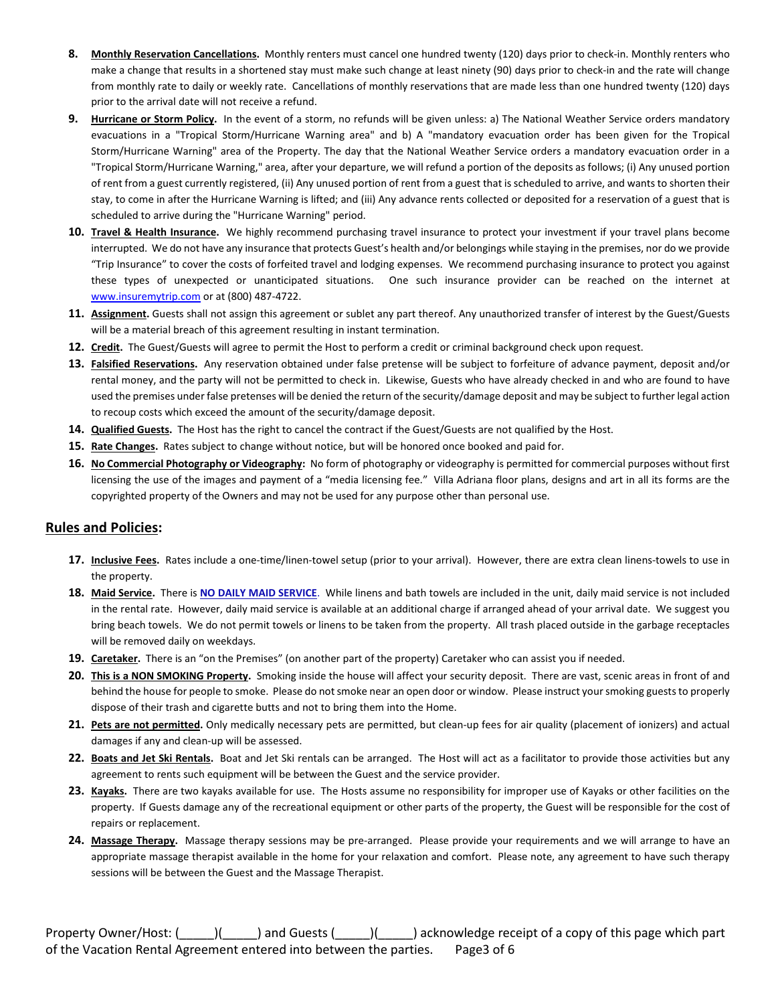- **8. Monthly Reservation Cancellations.** Monthly renters must cancel one hundred twenty (120) days prior to check-in. Monthly renters who make a change that results in a shortened stay must make such change at least ninety (90) days prior to check-in and the rate will change from monthly rate to daily or weekly rate. Cancellations of monthly reservations that are made less than one hundred twenty (120) days prior to the arrival date will not receive a refund.
- **9. Hurricane or Storm Policy.** In the event of a storm, no refunds will be given unless: a) The National Weather Service orders mandatory evacuations in a "Tropical Storm/Hurricane Warning area" and b) A "mandatory evacuation order has been given for the Tropical Storm/Hurricane Warning" area of the Property. The day that the National Weather Service orders a mandatory evacuation order in a "Tropical Storm/Hurricane Warning," area, after your departure, we will refund a portion of the deposits as follows; (i) Any unused portion of rent from a guest currently registered, (ii) Any unused portion of rent from a guest that is scheduled to arrive, and wants to shorten their stay, to come in after the Hurricane Warning is lifted; and (iii) Any advance rents collected or deposited for a reservation of a guest that is scheduled to arrive during the "Hurricane Warning" period.
- **10. Travel & Health Insurance.** We highly recommend purchasing travel insurance to protect your investment if your travel plans become interrupted. We do not have any insurance that protects Guest's health and/or belongings while staying in the premises, nor do we provide "Trip Insurance" to cover the costs of forfeited travel and lodging expenses. We recommend purchasing insurance to protect you against these types of unexpected or unanticipated situations. One such insurance provider can be reached on the internet at www.insuremytrip.com</u> or at (800) 487-4722.
- **11. Assignment.** Guests shall not assign this agreement or sublet any part thereof. Any unauthorized transfer of interest by the Guest/Guests will be a material breach of this agreement resulting in instant termination.
- **12. Credit.** The Guest/Guests will agree to permit the Host to perform a credit or criminal background check upon request.
- **13. Falsified Reservations.** Any reservation obtained under false pretense will be subject to forfeiture of advance payment, deposit and/or rental money, and the party will not be permitted to check in. Likewise, Guests who have already checked in and who are found to have used the premises under false pretenses will be denied the return of the security/damage deposit and may be subject to further legal action to recoup costs which exceed the amount of the security/damage deposit.
- **14. Qualified Guests.** The Host has the right to cancel the contract if the Guest/Guests are not qualified by the Host.
- **15. Rate Changes.** Rates subject to change without notice, but will be honored once booked and paid for.
- **16. No Commercial Photography or Videography:** No form of photography or videography is permitted for commercial purposes without first licensing the use of the images and payment of a "media licensing fee." Villa Adriana floor plans, designs and art in all its forms are the copyrighted property of the Owners and may not be used for any purpose other than personal use.

#### **Rules and Policies:**

- **17. Inclusive Fees.** Rates include a one-time/linen-towel setup (prior to your arrival). However, there are extra clean linens-towels to use in the property.
- **18. Maid Service.** There is **NO DAILY MAID SERVICE**. While linens and bath towels are included in the unit, daily maid service is not included in the rental rate. However, daily maid service is available at an additional charge if arranged ahead of your arrival date. We suggest you bring beach towels. We do not permit towels or linens to be taken from the property. All trash placed outside in the garbage receptacles will be removed daily on weekdays.
- **19. Caretaker.** There is an "on the Premises" (on another part of the property) Caretaker who can assist you if needed.
- **20. This is a NON SMOKING Property.** Smoking inside the house will affect your security deposit. There are vast, scenic areas in front of and behind the house for people to smoke. Please do not smoke near an open door or window. Please instruct your smoking guests to properly dispose of their trash and cigarette butts and not to bring them into the Home.
- **21. Pets are not permitted.** Only medically necessary pets are permitted, but clean-up fees for air quality (placement of ionizers) and actual damages if any and clean-up will be assessed.
- **22. Boats and Jet Ski Rentals.** Boat and Jet Ski rentals can be arranged. The Host will act as a facilitator to provide those activities but any agreement to rents such equipment will be between the Guest and the service provider.
- **23. Kayaks.** There are two kayaks available for use. The Hosts assume no responsibility for improper use of Kayaks or other facilities on the property. If Guests damage any of the recreational equipment or other parts of the property, the Guest will be responsible for the cost of repairs or replacement.
- **24. Massage Therapy.** Massage therapy sessions may be pre-arranged. Please provide your requirements and we will arrange to have an appropriate massage therapist available in the home for your relaxation and comfort. Please note, any agreement to have such therapy sessions will be between the Guest and the Massage Therapist.

Property Owner/Host: (\_\_\_\_\_)(\_\_\_\_\_) and Guests (\_\_\_\_\_)(\_\_\_\_\_) acknowledge receipt of a copy of this page which part of the Vacation Rental Agreement entered into between the parties. Page3 of 6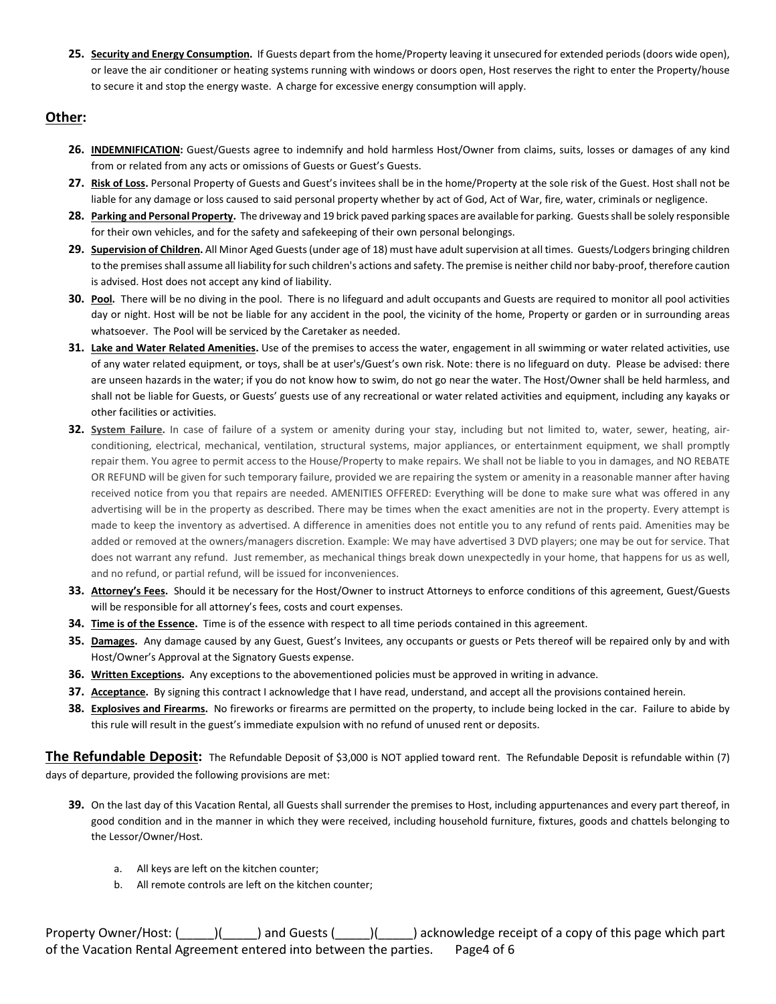**25. Security and Energy Consumption.** If Guests depart from the home/Property leaving it unsecured for extended periods (doors wide open), or leave the air conditioner or heating systems running with windows or doors open, Host reserves the right to enter the Property/house to secure it and stop the energy waste. A charge for excessive energy consumption will apply.

#### **Other:**

- **26. INDEMNIFICATION:** Guest/Guests agree to indemnify and hold harmless Host/Owner from claims, suits, losses or damages of any kind from or related from any acts or omissions of Guests or Guest's Guests.
- 27. Risk of Loss. Personal Property of Guests and Guest's invitees shall be in the home/Property at the sole risk of the Guest. Host shall not be liable for any damage or loss caused to said personal property whether by act of God, Act of War, fire, water, criminals or negligence.
- **28. Parking and Personal Property.** The driveway and 19 brick paved parking spaces are available for parking. Guests shall be solely responsible for their own vehicles, and for the safety and safekeeping of their own personal belongings.
- **29. Supervision of Children.** All Minor Aged Guests (under age of 18) must have adult supervision at all times. Guests/Lodgers bringing children to the premises shall assume all liability for such children's actions and safety. The premise is neither child nor baby-proof, therefore caution is advised. Host does not accept any kind of liability.
- **30. Pool.** There will be no diving in the pool. There is no lifeguard and adult occupants and Guests are required to monitor all pool activities day or night. Host will be not be liable for any accident in the pool, the vicinity of the home, Property or garden or in surrounding areas whatsoever. The Pool will be serviced by the Caretaker as needed.
- **31. Lake and Water Related Amenities.** Use of the premises to access the water, engagement in all swimming or water related activities, use of any water related equipment, or toys, shall be at user's/Guest's own risk. Note: there is no lifeguard on duty. Please be advised: there are unseen hazards in the water; if you do not know how to swim, do not go near the water. The Host/Owner shall be held harmless, and shall not be liable for Guests, or Guests' guests use of any recreational or water related activities and equipment, including any kayaks or other facilities or activities.
- **32. System Failure.** In case of failure of a system or amenity during your stay, including but not limited to, water, sewer, heating, airconditioning, electrical, mechanical, ventilation, structural systems, major appliances, or entertainment equipment, we shall promptly repair them. You agree to permit access to the House/Property to make repairs. We shall not be liable to you in damages, and NO REBATE OR REFUND will be given for such temporary failure, provided we are repairing the system or amenity in a reasonable manner after having received notice from you that repairs are needed. AMENITIES OFFERED: Everything will be done to make sure what was offered in any advertising will be in the property as described. There may be times when the exact amenities are not in the property. Every attempt is made to keep the inventory as advertised. A difference in amenities does not entitle you to any refund of rents paid. Amenities may be added or removed at the owners/managers discretion. Example: We may have advertised 3 DVD players; one may be out for service. That does not warrant any refund. Just remember, as mechanical things break down unexpectedly in your home, that happens for us as well, and no refund, or partial refund, will be issued for inconveniences.
- **33. Attorney's Fees.** Should it be necessary for the Host/Owner to instruct Attorneys to enforce conditions of this agreement, Guest/Guests will be responsible for all attorney's fees, costs and court expenses.
- **34. Time is of the Essence.** Time is of the essence with respect to all time periods contained in this agreement.
- **35. Damages.** Any damage caused by any Guest, Guest's Invitees, any occupants or guests or Pets thereof will be repaired only by and with Host/Owner's Approval at the Signatory Guests expense.
- **36. Written Exceptions.** Any exceptions to the abovementioned policies must be approved in writing in advance.
- **37. Acceptance.** By signing this contract I acknowledge that I have read, understand, and accept all the provisions contained herein.
- **38. Explosives and Firearms.** No fireworks or firearms are permitted on the property, to include being locked in the car. Failure to abide by this rule will result in the guest's immediate expulsion with no refund of unused rent or deposits.

**The Refundable Deposit:** The Refundable Deposit of \$3,000 is NOT applied toward rent. The Refundable Deposit is refundable within (7) days of departure, provided the following provisions are met:

- **39.** On the last day of this Vacation Rental, all Guests shall surrender the premises to Host, including appurtenances and every part thereof, in good condition and in the manner in which they were received, including household furniture, fixtures, goods and chattels belonging to the Lessor/Owner/Host.
	- a. All keys are left on the kitchen counter;
	- b. All remote controls are left on the kitchen counter;

Property Owner/Host: (\_\_\_\_\_)(\_\_\_\_\_) and Guests (\_\_\_\_\_)(\_\_\_\_\_) acknowledge receipt of a copy of this page which part of the Vacation Rental Agreement entered into between the parties. Page4 of 6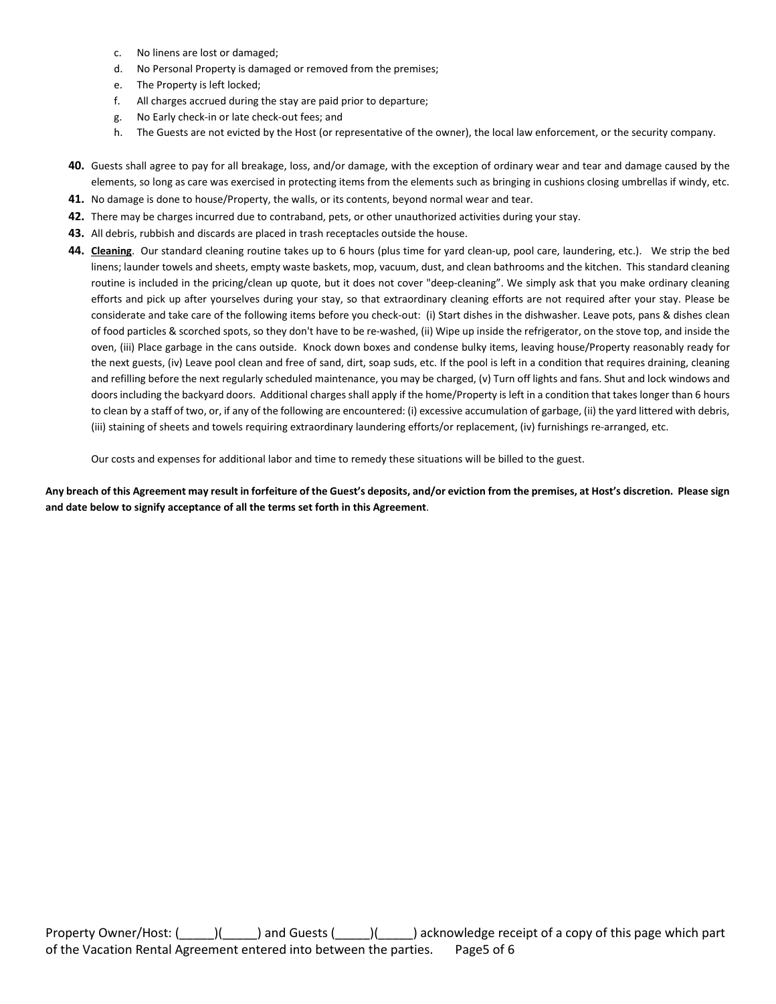- c. No linens are lost or damaged;
- d. No Personal Property is damaged or removed from the premises;
- e. The Property is left locked;
- f. All charges accrued during the stay are paid prior to departure;
- g. No Early check-in or late check-out fees; and
- h. The Guests are not evicted by the Host (or representative of the owner), the local law enforcement, or the security company.
- **40.** Guests shall agree to pay for all breakage, loss, and/or damage, with the exception of ordinary wear and tear and damage caused by the elements, so long as care was exercised in protecting items from the elements such as bringing in cushions closing umbrellas if windy, etc.
- **41.** No damage is done to house/Property, the walls, or its contents, beyond normal wear and tear.
- **42.** There may be charges incurred due to contraband, pets, or other unauthorized activities during your stay.
- **43.** All debris, rubbish and discards are placed in trash receptacles outside the house.
- **44. Cleaning**. Our standard cleaning routine takes up to 6 hours (plus time for yard clean-up, pool care, laundering, etc.). We strip the bed linens; launder towels and sheets, empty waste baskets, mop, vacuum, dust, and clean bathrooms and the kitchen. This standard cleaning routine is included in the pricing/clean up quote, but it does not cover "deep-cleaning". We simply ask that you make ordinary cleaning efforts and pick up after yourselves during your stay, so that extraordinary cleaning efforts are not required after your stay. Please be considerate and take care of the following items before you check-out: (i) Start dishes in the dishwasher. Leave pots, pans & dishes clean of food particles & scorched spots, so they don't have to be re-washed, (ii) Wipe up inside the refrigerator, on the stove top, and inside the oven, (iii) Place garbage in the cans outside. Knock down boxes and condense bulky items, leaving house/Property reasonably ready for the next guests, (iv) Leave pool clean and free of sand, dirt, soap suds, etc. If the pool is left in a condition that requires draining, cleaning and refilling before the next regularly scheduled maintenance, you may be charged, (v) Turn off lights and fans. Shut and lock windows and doors including the backyard doors. Additional charges shall apply if the home/Property is left in a condition that takes longer than 6 hours to clean by a staff of two, or, if any of the following are encountered: (i) excessive accumulation of garbage, (ii) the yard littered with debris, (iii) staining of sheets and towels requiring extraordinary laundering efforts/or replacement, (iv) furnishings re-arranged, etc.

Our costs and expenses for additional labor and time to remedy these situations will be billed to the guest.

**Any breach of this Agreement may result in forfeiture of the Guest's deposits, and/or eviction from the premises, at Host's discretion. Please sign and date below to signify acceptance of all the terms set forth in this Agreement**.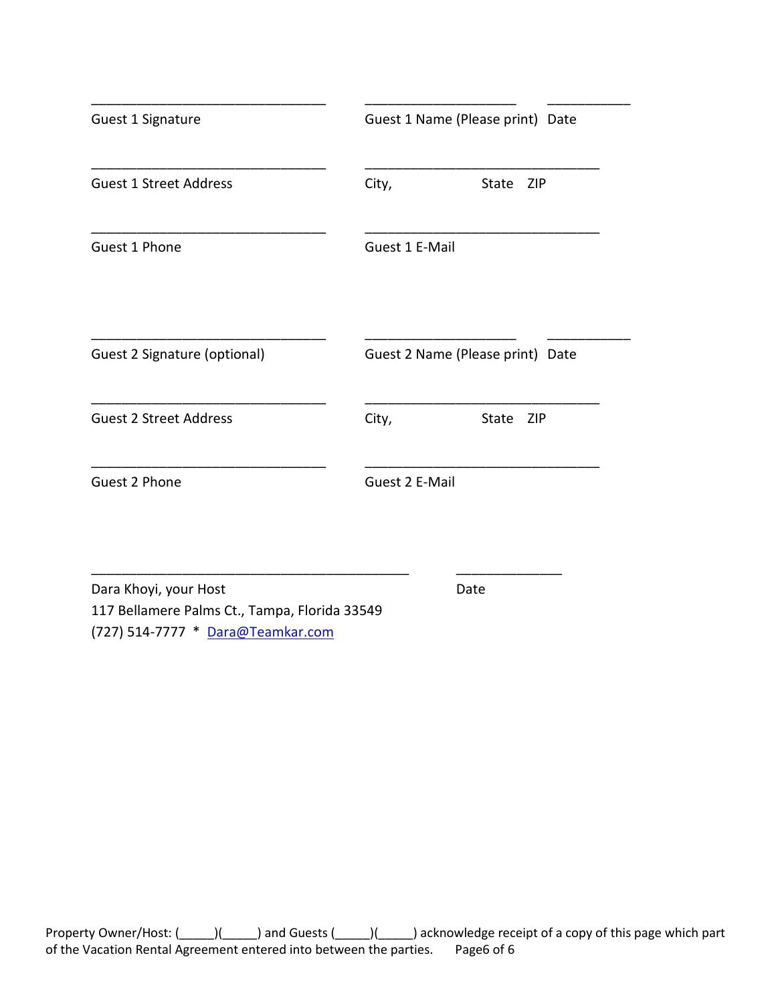| Guest 1 Signature             | Guest 1 Name (Please print) Date |
|-------------------------------|----------------------------------|
| <b>Guest 1 Street Address</b> | City,<br>State<br><b>ZIP</b>     |
| Guest 1 Phone                 | Guest 1 E-Mail                   |
| Guest 2 Signature (optional)  | Guest 2 Name (Please print) Date |
| <b>Guest 2 Street Address</b> | City,<br>State<br><b>ZIP</b>     |
| Guest 2 Phone                 | Guest 2 E-Mail                   |

Dara Khoyi, your Host Date 117 Bellamere Palms Ct., Tampa, Florida 33549 (727) 514-7777 \* Dara@Teamkar.com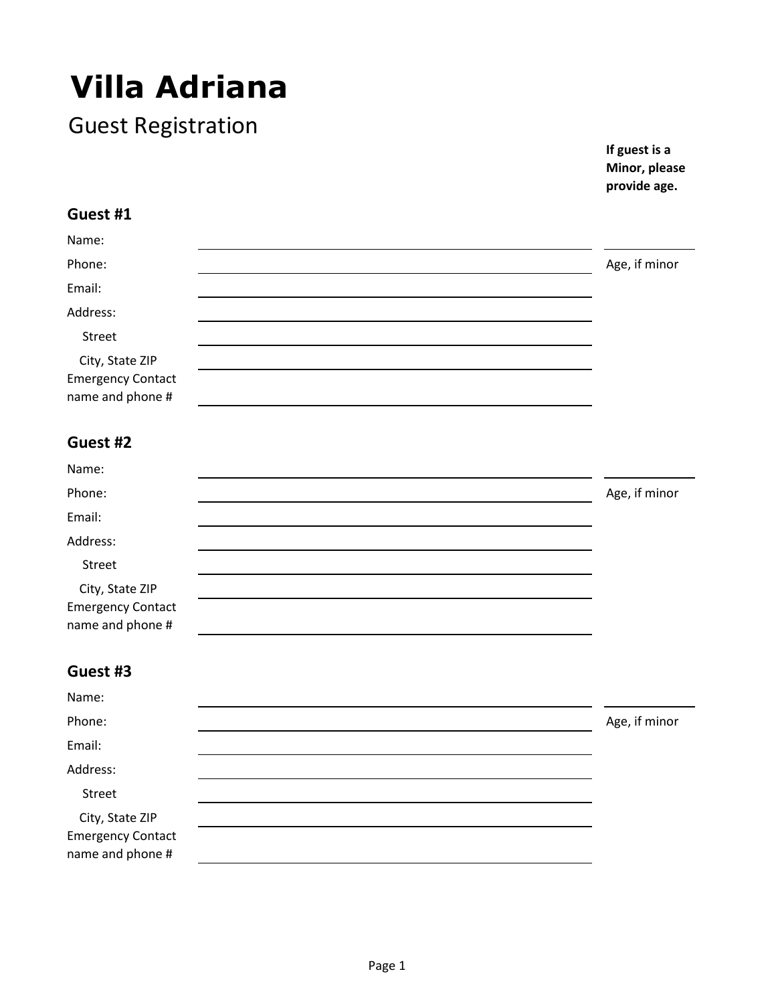# **Villa Adriana**

Guest Registration

**If guest is a Minor, please provide age.**

### **Guest #1**

| Name:                    |               |
|--------------------------|---------------|
| Phone:                   | Age, if minor |
| Email:                   |               |
| Address:                 |               |
| Street                   |               |
| City, State ZIP          |               |
| <b>Emergency Contact</b> |               |
| name and phone #         |               |

### **Guest #2**

| Name:                                                           |               |  |
|-----------------------------------------------------------------|---------------|--|
| Phone:                                                          | Age, if minor |  |
| Email:                                                          |               |  |
| Address:                                                        |               |  |
| Street                                                          |               |  |
| City, State ZIP<br><b>Emergency Contact</b><br>name and phone # |               |  |
|                                                                 |               |  |

### **Guest #3**

| Name:                                        |               |  |
|----------------------------------------------|---------------|--|
| Phone:                                       | Age, if minor |  |
| Email:                                       |               |  |
| Address:                                     |               |  |
| Street                                       |               |  |
| City, State ZIP                              |               |  |
| <b>Emergency Contact</b><br>name and phone # |               |  |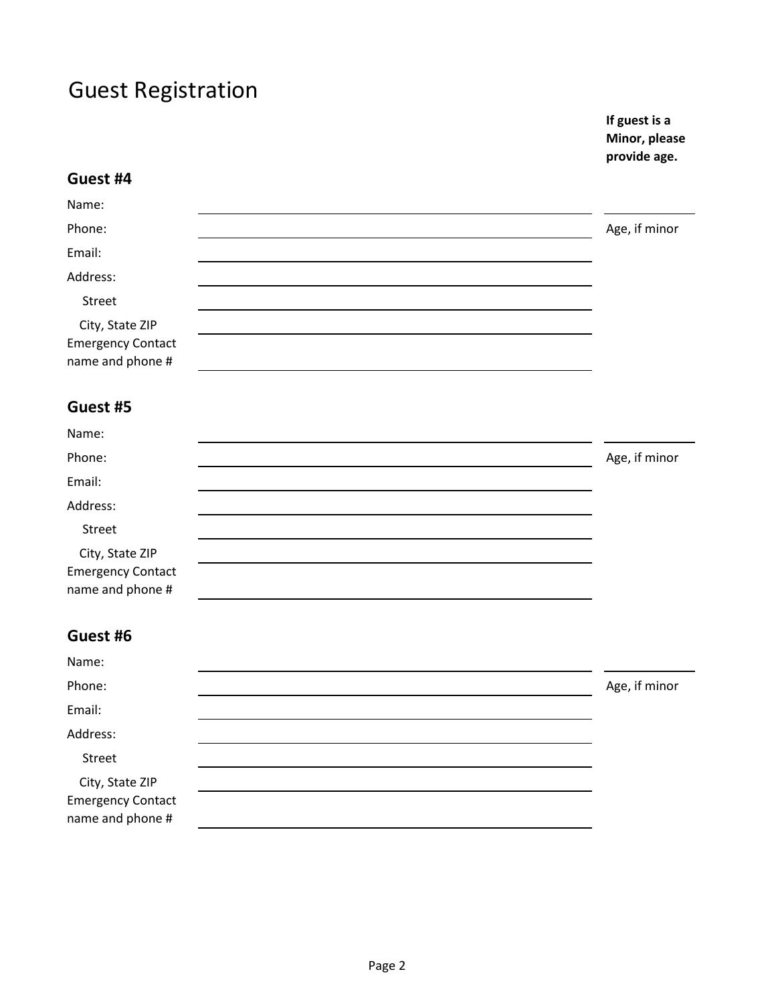**If guest is a Minor, please provide age.**

| Guest #4                                                        |               |
|-----------------------------------------------------------------|---------------|
| Name:                                                           |               |
| Phone:                                                          | Age, if minor |
| Email:                                                          |               |
| Address:                                                        |               |
| Street                                                          |               |
| City, State ZIP<br><b>Emergency Contact</b><br>name and phone # |               |
| Guest #5                                                        |               |
| Name:                                                           |               |
| Phone:                                                          | Age, if minor |
| Email:                                                          |               |
| Address:                                                        |               |
| Street                                                          |               |
| City, State ZIP<br><b>Emergency Contact</b><br>name and phone # |               |
| Guest #6                                                        |               |
| Name:                                                           |               |
| Phone:                                                          | Age, if minor |
| Email:                                                          |               |
| Address:                                                        |               |
| Street                                                          |               |
| City, State ZIP<br><b>Emergency Contact</b><br>name and phone # |               |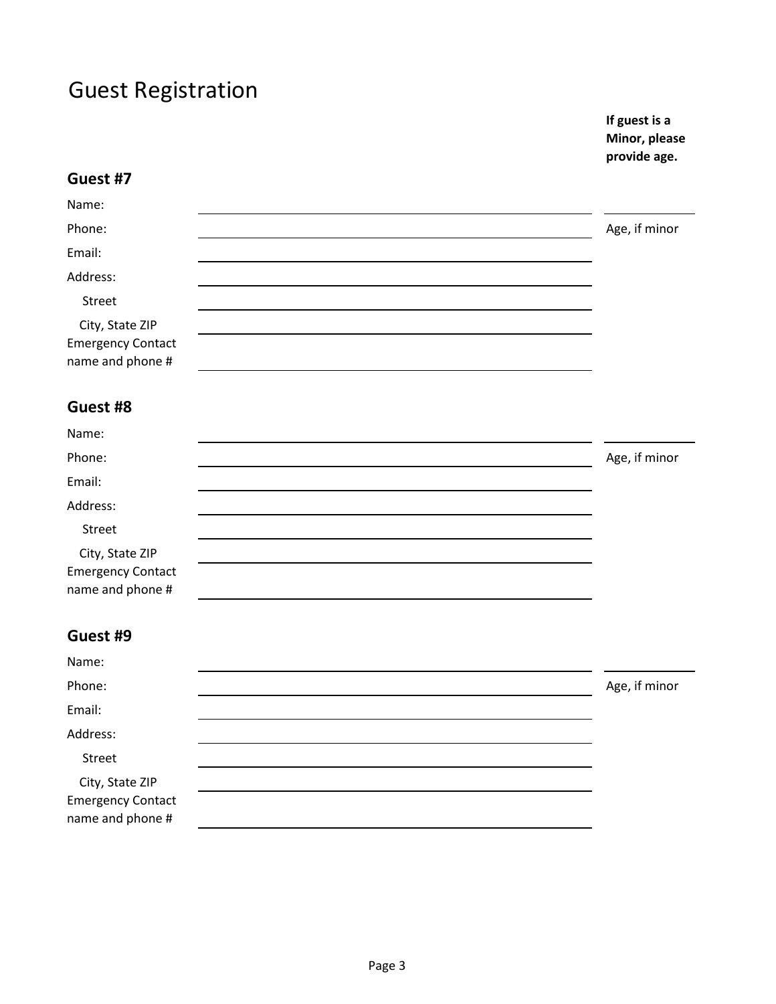**If guest is a Minor, please provide age.**

|                                                                 | provide age.  |
|-----------------------------------------------------------------|---------------|
| Guest #7                                                        |               |
| Name:                                                           |               |
| Phone:                                                          | Age, if minor |
| Email:                                                          |               |
| Address:                                                        |               |
| Street                                                          |               |
| City, State ZIP<br><b>Emergency Contact</b><br>name and phone # |               |
| Guest #8                                                        |               |
| Name:                                                           |               |
| Phone:                                                          | Age, if minor |
| Email:                                                          |               |
| Address:                                                        |               |
| Street                                                          |               |
| City, State ZIP<br><b>Emergency Contact</b><br>name and phone # |               |
| Guest #9                                                        |               |
| Name:                                                           |               |
| Phone:                                                          | Age, if minor |
| Email:                                                          |               |
| Address:                                                        |               |

Street

City, State ZIP Emergency Contact name and phone #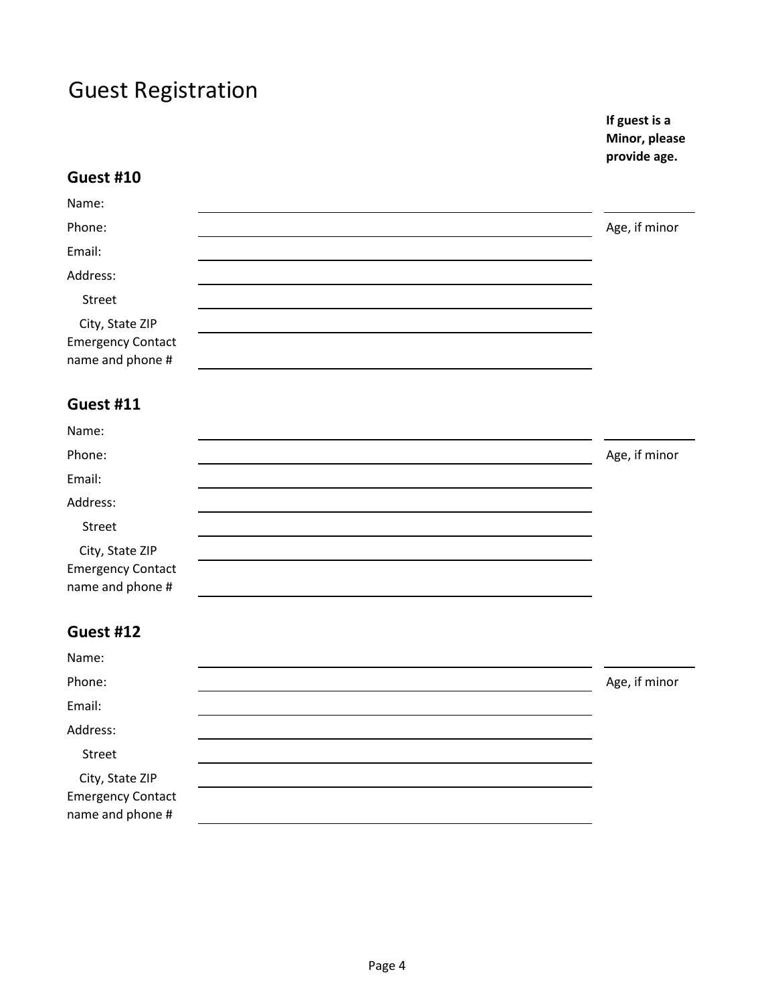**If guest is a Minor, please provide age.**

| <b>Guest #10</b>                                                |               |
|-----------------------------------------------------------------|---------------|
| Name:                                                           |               |
| Phone:                                                          | Age, if minor |
| Email:                                                          |               |
| Address:                                                        |               |
| Street                                                          |               |
| City, State ZIP<br><b>Emergency Contact</b><br>name and phone # |               |
| Guest #11                                                       |               |
| Name:                                                           |               |
| Phone:                                                          | Age, if minor |
| Email:                                                          |               |
| Address:                                                        |               |
| Street                                                          |               |
| City, State ZIP<br><b>Emergency Contact</b><br>name and phone # |               |
| Guest #12                                                       |               |
| Name:                                                           |               |
| Phone:                                                          | Age, if minor |
| Email:                                                          |               |
| Address:                                                        |               |
| Street                                                          |               |
| City, State ZIP<br><b>Emergency Contact</b><br>name and phone # |               |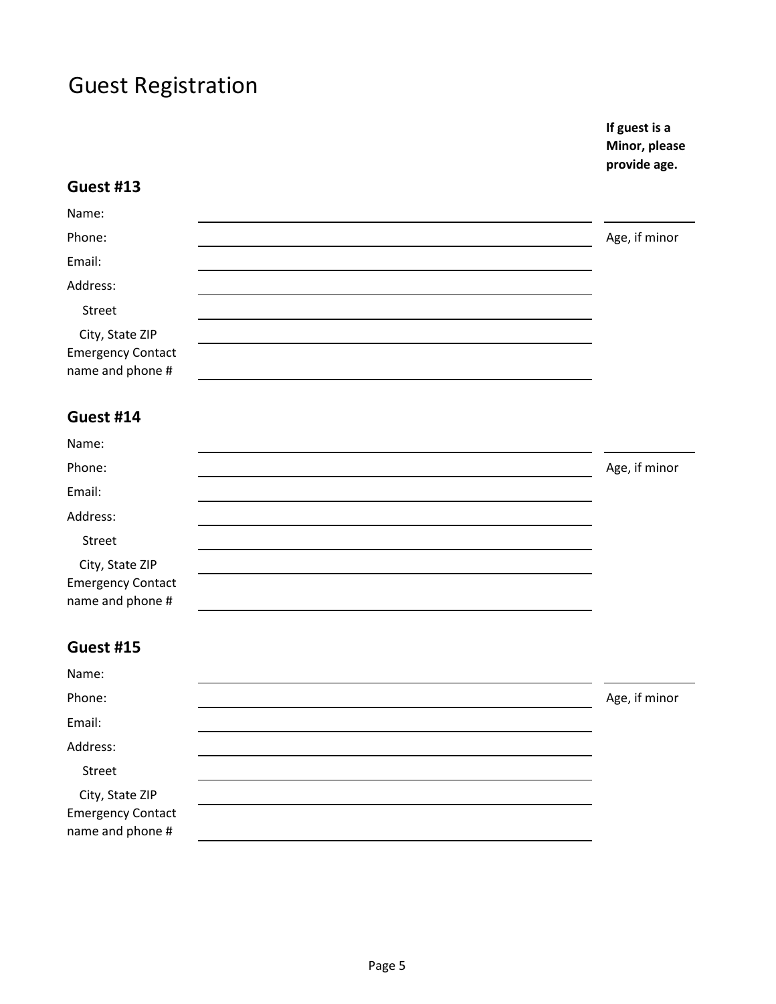**If guest is a Minor, please provide age.**

#### **Guest #13**

| Name:                                                           |               |  |
|-----------------------------------------------------------------|---------------|--|
| Phone:                                                          | Age, if minor |  |
| Email:                                                          |               |  |
| Address:                                                        |               |  |
| Street                                                          |               |  |
| City, State ZIP<br><b>Emergency Contact</b><br>name and phone # |               |  |

### **Guest #14**

| Name:                                        |               |
|----------------------------------------------|---------------|
| Phone:                                       | Age, if minor |
| Email:                                       |               |
| Address:                                     |               |
| Street                                       |               |
| City, State ZIP                              |               |
| <b>Emergency Contact</b><br>name and phone # |               |

# **Guest #15**

| Name:                                        |               |
|----------------------------------------------|---------------|
| Phone:                                       | Age, if minor |
| Email:                                       |               |
| Address:                                     |               |
| Street                                       |               |
| City, State ZIP                              |               |
| <b>Emergency Contact</b><br>name and phone # |               |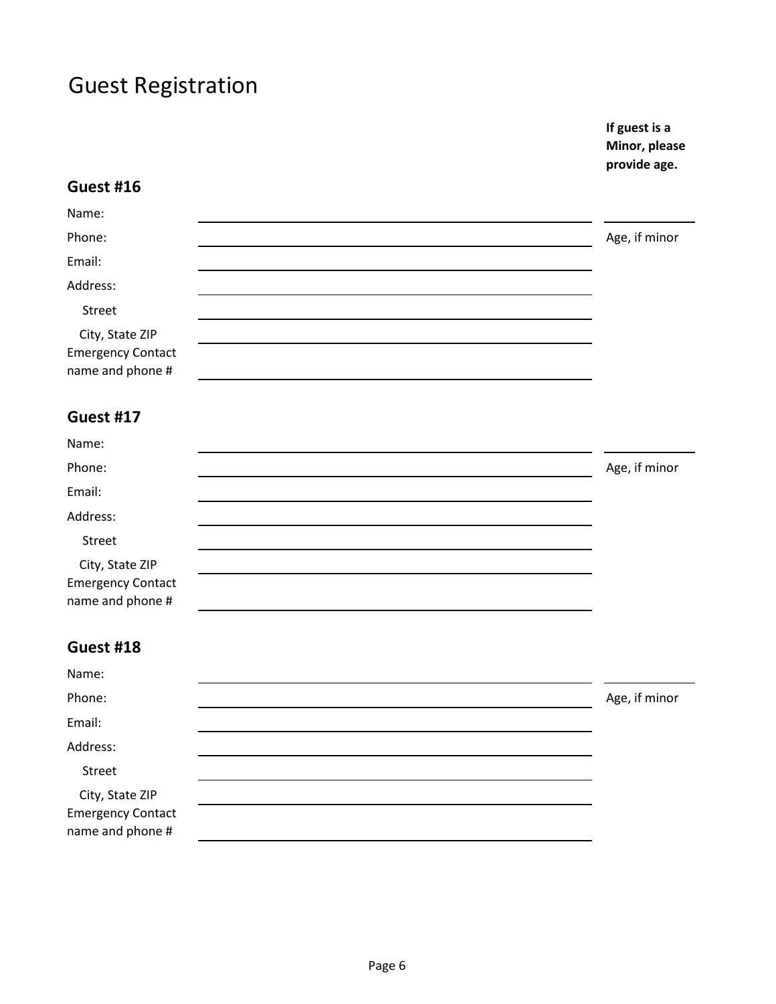**If guest is a Minor, please provide age.**

#### **Guest #16**

| Name:                                        |               |
|----------------------------------------------|---------------|
| Phone:                                       | Age, if minor |
| Email:                                       |               |
| Address:                                     |               |
| Street                                       |               |
| City, State ZIP                              |               |
| <b>Emergency Contact</b><br>name and phone # |               |

### **Guest #17**

| Name:                                       |               |
|---------------------------------------------|---------------|
| Phone:                                      | Age, if minor |
| Email:                                      |               |
| Address:                                    |               |
| Street                                      |               |
| City, State ZIP<br><b>Emergency Contact</b> |               |
| name and phone #                            |               |

# **Guest #18**

| Name:                                        |               |
|----------------------------------------------|---------------|
| Phone:                                       | Age, if minor |
| Email:                                       |               |
| Address:                                     |               |
| Street                                       |               |
| City, State ZIP                              |               |
| <b>Emergency Contact</b><br>name and phone # |               |